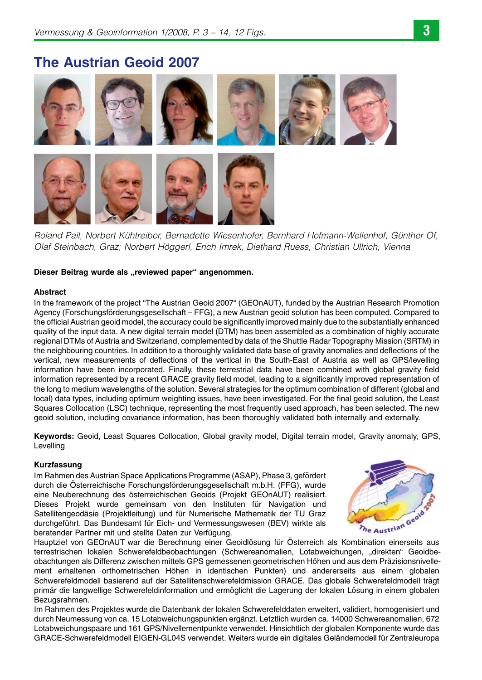# The Austrian Geoid 2007



Roland Pail, Norbert Kühtreiber, Bernadette Wiesenhofer, Bernhard Hofmann-Wellenhof, Günther Of, Olaf Steinbach, Graz; Norbert Höggerl, Erich Imrek, Diethard Ruess, Christian Ullrich, Vienna

## Dieser Beitrag wurde als "reviewed paper" angenommen.

## Abstract

In the framework of the project "The Austrian Geoid 2007" (GEOnAUT), funded by the Austrian Research Promotion Agency (Forschungsförderungsgesellschaft – FFG), a new Austrian geoid solution has been computed. Compared to the official Austrian geoid model, the accuracy could be significantly improved mainly due to the substantially enhanced quality of the input data. A new digital terrain model (DTM) has been assembled as a combination of highly accurate regional DTMs of Austria and Switzerland, complemented by data of the Shuttle Radar Topography Mission (SRTM) in the neighbouring countries. In addition to a thoroughly validated data base of gravity anomalies and deflections of the vertical, new measurements of deflections of the vertical in the South-East of Austria as well as GPS/levelling information have been incorporated. Finally, these terrestrial data have been combined with global gravity field information represented by a recent GRACE gravity field model, leading to a significantly improved representation of the long to medium wavelengths of the solution. Several strategies for the optimum combination of different (global and local) data types, including optimum weighting issues, have been investigated. For the final geoid solution, the Least Squares Collocation (LSC) technique, representing the most frequently used approach, has been selected. The new geoid solution, including covariance information, has been thoroughly validated both internally and externally.

Keywords: Geoid, Least Squares Collocation, Global gravity model, Digital terrain model, Gravity anomaly, GPS, Levelling

## Kurzfassung

Im Rahmen des Austrian Space Applications Programme (ASAP), Phase 3, gefördert durch die Österreichische Forschungsförderungsgesellschaft m.b.H. (FFG), wurde eine Neuberechnung des österreichischen Geoids (Projekt GEOnAUT) realisiert. Dieses Projekt wurde gemeinsam von den Instituten für Navigation und Satellitengeodäsie (Projektleitung) und für Numerische Mathematik der TU Graz durchgeführt. Das Bundesamt für Eich- und Vermessungswesen (BEV) wirkte als beratender Partner mit und stellte Daten zur Verfügung. Hauptziel von GEOnAUT war die Berechnung einer Geoidlosung für Österreich als Kombination einerseits aus Hauptziel von GEONAUT war die Berechnung einer Geoidlosung für Österreich als Kombination einerseits aus



terrestrischen lokalen Schwerefeldbeobachtungen (Schwereanomalien, Lotabweichungen, "direkten" Geoidbeobachtungen als Differenz zwischen mittels GPS gemessenen geometrischen Höhen und aus dem Präzisionsnivellement erhaltenen orthometrischen Höhen in identischen Punkten) und andererseits aus einem globalen Schwerefeldmodell basierend auf der Satellitenschwerefeldmission GRACE. Das globale Schwerefeldmodell trägt primär die langwellige Schwerefeldinformation und ermöglicht die Lagerung der lokalen Lösung in einem globalen Bezugsrahmen.

Im Rahmen des Projektes wurde die Datenbank der lokalen Schwerefelddaten erweitert, validiert, homogenisiert und durch Neumessung von ca. 15 Lotabweichungspunkten ergänzt. Letztlich wurden ca. 14000 Schwereanomalien, 672 Lotabweichungspaare und 161 GPS/Nivellementpunkte verwendet. Hinsichtlich der globalen Komponente wurde das GRACE-Schwerefeldmodell EIGEN-GL04S verwendet. Weiters wurde ein digitales Geländemodell für Zentraleuropa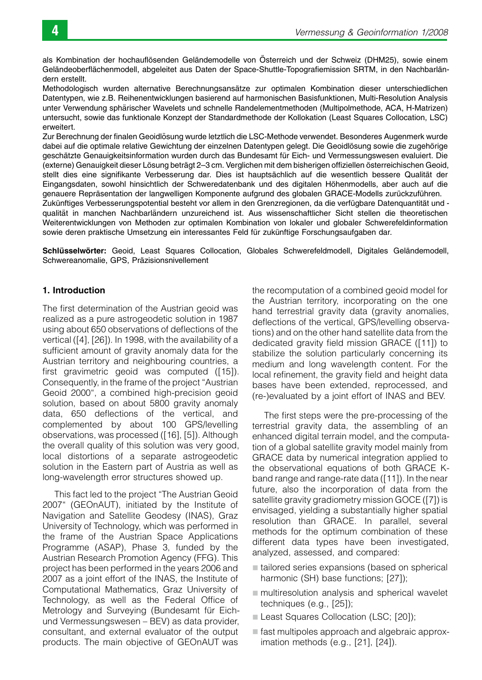als Kombination der hochauflösenden Geländemodelle von Österreich und der Schweiz (DHM25), sowie einem Geländeoberflächenmodell, abgeleitet aus Daten der Space-Shuttle-Topografiemission SRTM, in den Nachbarländern erstellt.

Methodologisch wurden alternative Berechnungsansätze zur optimalen Kombination dieser unterschiedlichen Datentypen, wie z.B. Reihenentwicklungen basierend auf harmonischen Basisfunktionen, Multi-Resolution Analysis unter Verwendung sphärischer Wavelets und schnelle Randelementmethoden (Multipolmethode, ACA, H-Matrizen) untersucht, sowie das funktionale Konzept der Standardmethode der Kollokation (Least Squares Collocation, LSC) erweitert.

Zur Berechnung der finalen Geoidlösung wurde letztlich die LSC-Methode verwendet. Besonderes Augenmerk wurde dabei auf die optimale relative Gewichtung der einzelnen Datentypen gelegt. Die Geoidlösung sowie die zugehörige geschätzte Genauigkeitsinformation wurden durch das Bundesamt für Eich- und Vermessungswesen evaluiert. Die (externe) Genauigkeit dieser Lösung beträgt 2–3 cm. Verglichen mit dem bisherigen offiziellen österreichischen Geoid, stellt dies eine signifikante Verbesserung dar. Dies ist hauptsächlich auf die wesentlich bessere Qualität der Eingangsdaten, sowohl hinsichtlich der Schweredatenbank und des digitalen Höhenmodells, aber auch auf die genauere Repräsentation der langwelligen Komponente aufgrund des globalen GRACE-Modells zurückzuführen. Zukünftiges Verbesserungspotential besteht vor allem in den Grenzregionen, da die verfügbare Datenguantität und qualität in manchen Nachbarländern unzureichend ist. Aus wissenschaftlicher Sicht stellen die theoretischen Weiterentwicklungen von Methoden zur optimalen Kombination von lokaler und globaler Schwerefeldinformation sowie deren praktische Umsetzung ein interessantes Feld für zukünftige Forschungsaufgaben dar.

Schlüsselwörter: Geoid, Least Squares Collocation, Globales Schwerefeldmodell, Digitales Geländemodell, Schwereanomalie, GPS, Präzisionsnivellement

# 1. Introduction

The first determination of the Austrian geoid was realized as a pure astrogeodetic solution in 1987 using about 650 observations of deflections of the vertical ([4], [26]). In 1998, with the availability of a sufficient amount of gravity anomaly data for the Austrian territory and neighbouring countries, a first gravimetric geoid was computed ([15]). Consequently, in the frame of the project "Austrian Geoid 2000", a combined high-precision geoid solution, based on about 5800 gravity anomaly data, 650 deflections of the vertical, and complemented by about 100 GPS/levelling observations, was processed ([16], [5]). Although the overall quality of this solution was very good, local distortions of a separate astrogeodetic solution in the Eastern part of Austria as well as long-wavelength error structures showed up.

This fact led to the project "The Austrian Geoid 2007" (GEOnAUT), initiated by the Institute of Navigation and Satellite Geodesy (INAS), Graz University of Technology, which was performed in the frame of the Austrian Space Applications Programme (ASAP), Phase 3, funded by the Austrian Research Promotion Agency (FFG). This project has been performed in the years 2006 and 2007 as a joint effort of the INAS, the Institute of Computational Mathematics, Graz University of Technology, as well as the Federal Office of Metrology and Surveying (Bundesamt für Eichund Vermessungswesen – BEV) as data provider, consultant, and external evaluator of the output products. The main objective of GEOnAUT was

the recomputation of a combined geoid model for the Austrian territory, incorporating on the one hand terrestrial gravity data (gravity anomalies, deflections of the vertical, GPS/levelling observations) and on the other hand satellite data from the dedicated gravity field mission GRACE ([11]) to stabilize the solution particularly concerning its medium and long wavelength content. For the local refinement, the gravity field and height data bases have been extended, reprocessed, and (re-)evaluated by a joint effort of INAS and BEV.

The first steps were the pre-processing of the terrestrial gravity data, the assembling of an enhanced digital terrain model, and the computation of a global satellite gravity model mainly from GRACE data by numerical integration applied to the observational equations of both GRACE Kband range and range-rate data ([11]). In the near future, also the incorporation of data from the satellite gravity gradiometry mission GOCE ([7]) is envisaged, yielding a substantially higher spatial resolution than GRACE. In parallel, several methods for the optimum combination of these different data types have been investigated, analyzed, assessed, and compared:

- $\blacksquare$  tailored series expansions (based on spherical harmonic (SH) base functions; [27]);
- $\blacksquare$  multiresolution analysis and spherical wavelet techniques (e.g., [25]);
- Least Squares Collocation (LSC; [20]);
- $\blacksquare$  fast multipoles approach and algebraic approximation methods (e.g., [21], [24]).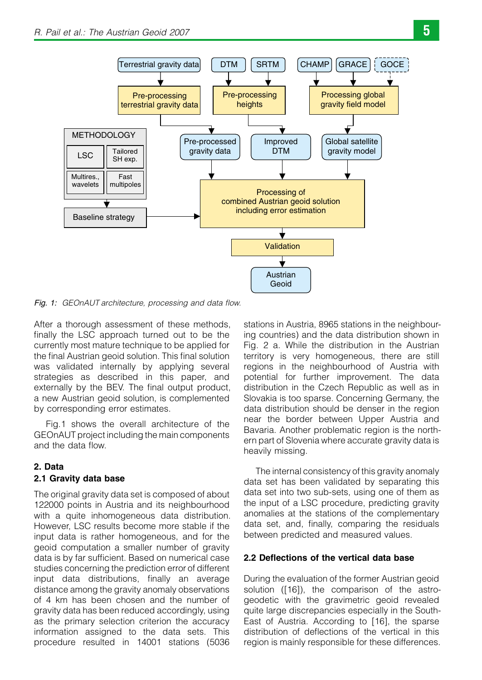

Fig. 1: GEOnAUT architecture, processing and data flow.

After a thorough assessment of these methods, finally the LSC approach turned out to be the currently most mature technique to be applied for the final Austrian geoid solution. This final solution was validated internally by applying several strategies as described in this paper, and externally by the BEV. The final output product, a new Austrian geoid solution, is complemented by corresponding error estimates.

Fig.1 shows the overall architecture of the GEOnAUT project including the main components and the data flow.

# 2. Data 2.1 Gravity data base

The original gravity data set is composed of about 122000 points in Austria and its neighbourhood with a quite inhomogeneous data distribution. However, LSC results become more stable if the input data is rather homogeneous, and for the geoid computation a smaller number of gravity data is by far sufficient. Based on numerical case studies concerning the prediction error of different input data distributions, finally an average distance among the gravity anomaly observations of 4 km has been chosen and the number of gravity data has been reduced accordingly, using as the primary selection criterion the accuracy information assigned to the data sets. This procedure resulted in 14001 stations (5036

stations in Austria, 8965 stations in the neighbouring countries) and the data distribution shown in Fig. 2 a. While the distribution in the Austrian territory is very homogeneous, there are still regions in the neighbourhood of Austria with potential for further improvement. The data distribution in the Czech Republic as well as in Slovakia is too sparse. Concerning Germany, the data distribution should be denser in the region near the border between Upper Austria and Bavaria. Another problematic region is the northern part of Slovenia where accurate gravity data is heavily missing.

The internal consistency of this gravity anomaly data set has been validated by separating this data set into two sub-sets, using one of them as the input of a LSC procedure, predicting gravity anomalies at the stations of the complementary data set, and, finally, comparing the residuals between predicted and measured values.

# 2.2 Deflections of the vertical data base

During the evaluation of the former Austrian geoid solution ([16]), the comparison of the astrogeodetic with the gravimetric geoid revealed quite large discrepancies especially in the South-East of Austria. According to [16], the sparse distribution of deflections of the vertical in this region is mainly responsible for these differences.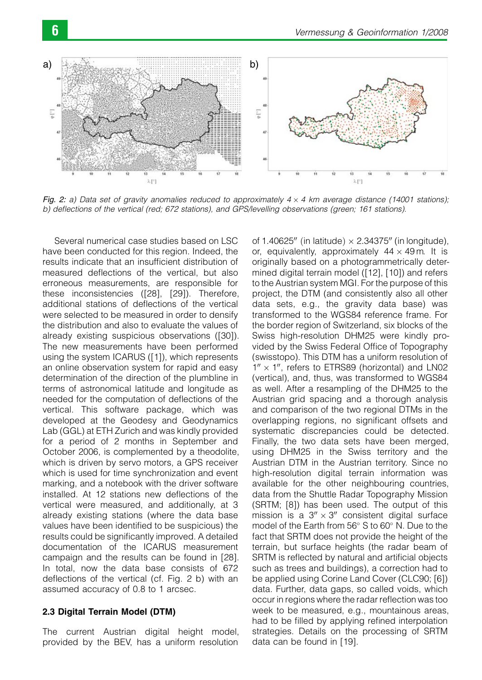

Fig. 2: a) Data set of gravity anomalies reduced to approximately  $4 \times 4$  km average distance (14001 stations); b) deflections of the vertical (red; 672 stations), and GPS/levelling observations (green; 161 stations).

Several numerical case studies based on LSC have been conducted for this region. Indeed, the results indicate that an insufficient distribution of measured deflections of the vertical, but also erroneous measurements, are responsible for these inconsistencies ([28], [29]). Therefore, additional stations of deflections of the vertical were selected to be measured in order to densify the distribution and also to evaluate the values of already existing suspicious observations ([30]). The new measurements have been performed using the system ICARUS ([1]), which represents an online observation system for rapid and easy determination of the direction of the plumbline in terms of astronomical latitude and longitude as needed for the computation of deflections of the vertical. This software package, which was developed at the Geodesy and Geodynamics Lab (GGL) at ETH Zurich and was kindly provided for a period of 2 months in September and October 2006, is complemented by a theodolite, which is driven by servo motors, a GPS receiver which is used for time synchronization and event marking, and a notebook with the driver software installed. At 12 stations new deflections of the vertical were measured, and additionally, at 3 already existing stations (where the data base values have been identified to be suspicious) the results could be significantly improved. A detailed documentation of the ICARUS measurement campaign and the results can be found in [28]. In total, now the data base consists of 672 deflections of the vertical (cf. Fig. 2 b) with an assumed accuracy of 0.8 to 1 arcsec.

# 2.3 Digital Terrain Model (DTM)

The current Austrian digital height model, provided by the BEV, has a uniform resolution of 1.40625" (in latitude)  $\times$  2.34375" (in longitude), or, equivalently, approximately  $44 \times 49$  m. It is originally based on a photogrammetrically determined digital terrain model ([12], [10]) and refers to the Austrian system MGI. For the purpose of this project, the DTM (and consistently also all other data sets, e.g., the gravity data base) was transformed to the WGS84 reference frame. For the border region of Switzerland, six blocks of the Swiss high-resolution DHM25 were kindly provided by the Swiss Federal Office of Topography (swisstopo). This DTM has a uniform resolution of  $1'' \times 1''$ , refers to ETRS89 (horizontal) and LN02 (vertical), and, thus, was transformed to WGS84 as well. After a resampling of the DHM25 to the Austrian grid spacing and a thorough analysis and comparison of the two regional DTMs in the overlapping regions, no significant offsets and systematic discrepancies could be detected. Finally, the two data sets have been merged, using DHM25 in the Swiss territory and the Austrian DTM in the Austrian territory. Since no high-resolution digital terrain information was available for the other neighbouring countries, data from the Shuttle Radar Topography Mission (SRTM; [8]) has been used. The output of this mission is a  $3'' \times 3''$  consistent digital surface model of the Earth from 56° S to 60° N. Due to the fact that SRTM does not provide the height of the terrain, but surface heights (the radar beam of SRTM is reflected by natural and artificial objects such as trees and buildings), a correction had to be applied using Corine Land Cover (CLC90; [6]) data. Further, data gaps, so called voids, which occur in regions where the radar reflection was too week to be measured, e.g., mountainous areas, had to be filled by applying refined interpolation strategies. Details on the processing of SRTM data can be found in [19].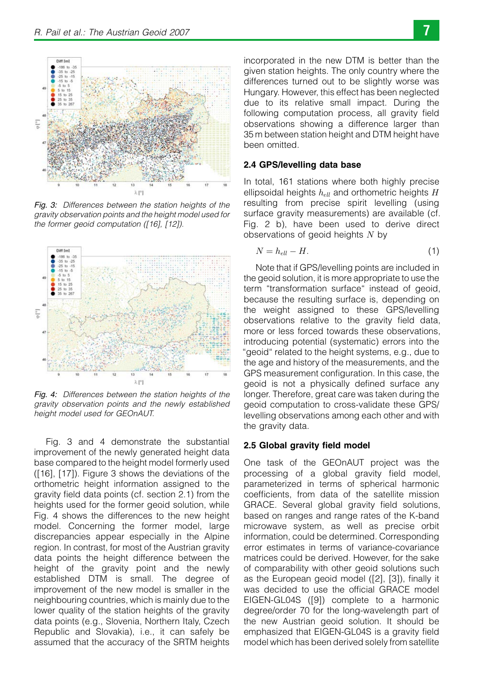

Fig. 3: Differences between the station heights of the gravity observation points and the height model used for the former geoid computation ([16], [12]).



Fig. 4: Differences between the station heights of the gravity observation points and the newly established height model used for GEOnAUT.

Fig. 3 and 4 demonstrate the substantial improvement of the newly generated height data base compared to the height model formerly used ([16], [17]). Figure 3 shows the deviations of the orthometric height information assigned to the gravity field data points (cf. section 2.1) from the heights used for the former geoid solution, while Fig. 4 shows the differences to the new height model. Concerning the former model, large discrepancies appear especially in the Alpine region. In contrast, for most of the Austrian gravity data points the height difference between the height of the gravity point and the newly established DTM is small. The degree of improvement of the new model is smaller in the neighbouring countries, which is mainly due to the lower quality of the station heights of the gravity data points (e.g., Slovenia, Northern Italy, Czech Republic and Slovakia), i.e., it can safely be assumed that the accuracy of the SRTM heights incorporated in the new DTM is better than the given station heights. The only country where the differences turned out to be slightly worse was Hungary. However, this effect has been neglected due to its relative small impact. During the following computation process, all gravity field observations showing a difference larger than 35 m between station height and DTM height have been omitted.

## 2.4 GPS/levelling data base

In total, 161 stations where both highly precise ellipsoidal heights  $h_{ell}$  and orthometric heights  $H$ resulting from precise spirit levelling (using surface gravity measurements) are available (cf. Fig. 2 b), have been used to derive direct observations of geoid heights  $N$  by

$$
N = h_{ell} - H. \tag{1}
$$

Note that if GPS/levelling points are included in the geoid solution, it is more appropriate to use the term "transformation surface" instead of geoid, because the resulting surface is, depending on the weight assigned to these GPS/levelling observations relative to the gravity field data, more or less forced towards these observations, introducing potential (systematic) errors into the "geoid" related to the height systems, e.g., due to the age and history of the measurements, and the GPS measurement configuration. In this case, the geoid is not a physically defined surface any longer. Therefore, great care was taken during the geoid computation to cross-validate these GPS/ levelling observations among each other and with the gravity data.

#### 2.5 Global gravity field model

One task of the GEOnAUT project was the processing of a global gravity field model, parameterized in terms of spherical harmonic coefficients, from data of the satellite mission GRACE. Several global gravity field solutions, based on ranges and range rates of the K-band microwave system, as well as precise orbit information, could be determined. Corresponding error estimates in terms of variance-covariance matrices could be derived. However, for the sake of comparability with other geoid solutions such as the European geoid model ([2], [3]), finally it was decided to use the official GRACE model EIGEN-GL04S ([9]) complete to a harmonic degree/order 70 for the long-wavelength part of the new Austrian geoid solution. It should be emphasized that EIGEN-GL04S is a gravity field model which has been derived solely from satellite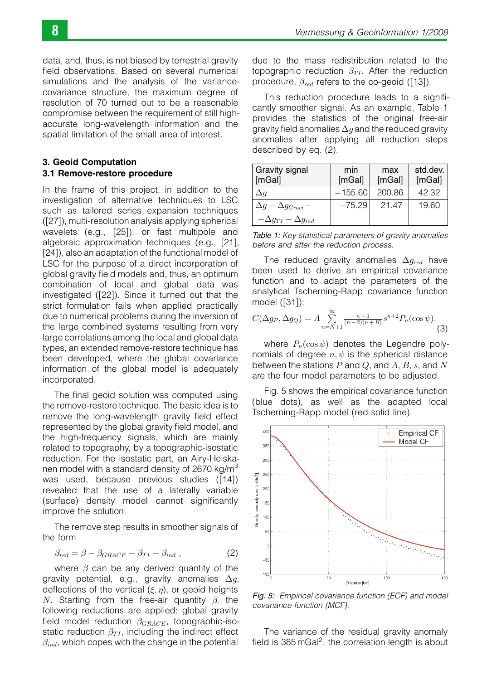data, and, thus, is not biased by terrestrial gravity field observations. Based on several numerical simulations and the analysis of the variancecovariance structure, the maximum degree of resolution of 70 turned out to be a reasonable compromise between the requirement of still highaccurate long-wavelength information and the spatial limitation of the small area of interest.

## 3. Geoid Computation 3.1 Remove-restore procedure

In the frame of this project, in addition to the investigation of alternative techniques to LSC such as tailored series expansion techniques ([27]), multi-resolution analysis applying spherical wavelets (e.g., [25]), or fast multipole and algebraic approximation techniques (e.g., [21], [24]), also an adaptation of the functional model of LSC for the purpose of a direct incorporation of global gravity field models and, thus, an optimum combination of local and global data was investigated ([22]). Since it turned out that the strict formulation fails when applied practically due to numerical problems during the inversion of the large combined systems resulting from very large correlations among the local and global data types, an extended remove-restore technique has been developed, where the global covariance information of the global model is adequately incorporated.

The final geoid solution was computed using the remove-restore technique. The basic idea is to remove the long-wavelength gravity field effect represented by the global gravity field model, and the high-frequency signals, which are mainly related to topography, by a topographic-isostatic reduction. For the isostatic part, an Airy-Heiskanen model with a standard density of 2670 kg/m<sup>3</sup> was used, because previous studies ([14]) revealed that the use of a laterally variable (surface) density model cannot significantly improve the solution.

The remove step results in smoother signals of the form

$$
\beta_{red} = \beta - \beta_{GRACE} - \beta_{TI} - \beta_{ind} \tag{2}
$$

where  $\beta$  can be any derived quantity of the gravity potential, e.g., gravity anomalies  $\Delta g$ , deflections of the vertical  $(\xi, \eta)$ , or geoid heights N. Starting from the free-air quantity  $\beta$ , the following reductions are applied: global gravity field model reduction  $\beta_{GRACE}$ , topographic-isostatic reduction  $\beta_{TI}$ , including the indirect effect  $\beta_{ind}$ , which copes with the change in the potential

due to the mass redistribution related to the topographic reduction  $\beta_{TI}$ . After the reduction procedure,  $\beta_{red}$  refers to the co-geoid ([13]).

This reduction procedure leads to a significantly smoother signal. As an example, Table 1 provides the statistics of the original free-air gravity field anomalies  $\Delta q$  and the reduced gravity anomalies after applying all reduction steps described by eq. (2).

| Gravity signal<br>[mGal]          | min<br>[mGal] | max<br>[mGal] | std.dev.<br>[mGal] |
|-----------------------------------|---------------|---------------|--------------------|
| $\Delta q$                        | $-155.60$     | 200.86        | 42.32              |
| $\Delta g - \Delta g_{Grace} -$   | $-75.29$      | 21.47         | 19.60              |
| $-\Delta g_{TI} - \Delta g_{ind}$ |               |               |                    |

Table 1: Key statistical parameters of gravity anomalies before and after the reduction process.

The reduced gravity anomalies  $\Delta q_{red}$  have been used to derive an empirical covariance function and to adapt the parameters of the analytical Tscherning-Rapp covariance function model ([31]):

$$
C(\Delta g_P, \Delta g_Q) = A \sum_{n=N+1}^{\infty} \frac{n-1}{(n-2)(n+B)} s^{n+2} P_n(\cos \psi),
$$
\n(3)

where  $P_n(\cos \psi)$  denotes the Legendre polynomials of degree  $n, \psi$  is the spherical distance between the stations  $P$  and  $Q$ , and  $A$ ,  $B$ ,  $s$ , and  $N$ are the four model parameters to be adjusted.

Fig. 5 shows the empirical covariance function (blue dots), as well as the adapted local Tscherning-Rapp model (red solid line).



Fig. 5: Empirical covariance function (ECF) and model covariance function (MCF).

The variance of the residual gravity anomaly field is  $385 \text{ mGa}^2$ , the correlation length is about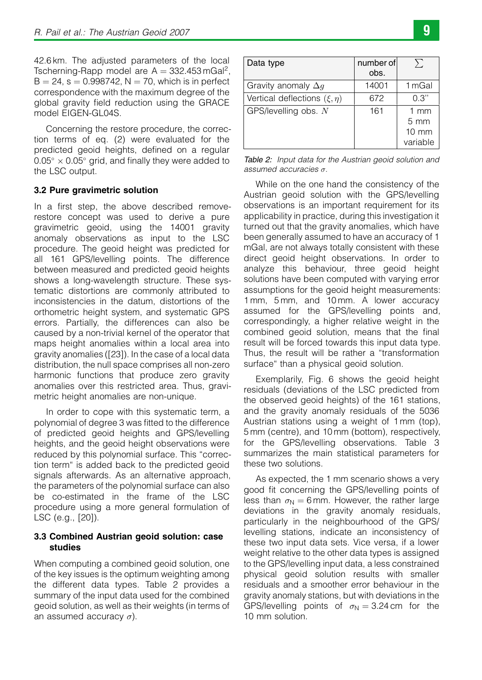42.6 km. The adjusted parameters of the local Tscherning-Rapp model are  $A = 332.453 \text{ mGal}^2$ ,  $B = 24$ , s = 0.998742, N = 70, which is in perfect correspondence with the maximum degree of the global gravity field reduction using the GRACE model EIGEN-GL04S.

Concerning the restore procedure, the correction terms of eq. (2) were evaluated for the predicted geoid heights, defined on a regular  $0.05^{\circ} \times 0.05^{\circ}$  grid, and finally they were added to the LSC output.

# 3.2 Pure gravimetric solution

In a first step, the above described removerestore concept was used to derive a pure gravimetric geoid, using the 14001 gravity anomaly observations as input to the LSC procedure. The geoid height was predicted for all 161 GPS/levelling points. The difference between measured and predicted geoid heights shows a long-wavelength structure. These systematic distortions are commonly attributed to inconsistencies in the datum, distortions of the orthometric height system, and systematic GPS errors. Partially, the differences can also be caused by a non-trivial kernel of the operator that maps height anomalies within a local area into gravity anomalies ([23]). In the case of a local data distribution, the null space comprises all non-zero harmonic functions that produce zero gravity anomalies over this restricted area. Thus, gravimetric height anomalies are non-unique.

In order to cope with this systematic term, a polynomial of degree 3 was fitted to the difference of predicted geoid heights and GPS/levelling heights, and the geoid height observations were reduced by this polynomial surface. This "correction term" is added back to the predicted geoid signals afterwards. As an alternative approach, the parameters of the polynomial surface can also be co-estimated in the frame of the LSC procedure using a more general formulation of LSC (e.g., [20]).

# 3.3 Combined Austrian geoid solution: case studies

When computing a combined geoid solution, one of the key issues is the optimum weighting among the different data types. Table 2 provides a summary of the input data used for the combined geoid solution, as well as their weights (in terms of an assumed accuracy  $\sigma$ ).

| Data type                          | number of<br>obs. | $\sum$           |
|------------------------------------|-------------------|------------------|
| Gravity anomaly $\Delta q$         | 14001             | 1 mGal           |
| Vertical deflections $(\xi, \eta)$ | 672               | 0.3"             |
| GPS/levelling obs. N               | 161               | $1 \text{ mm}$   |
|                                    |                   | $5 \, \text{mm}$ |
|                                    |                   | $10 \text{ mm}$  |
|                                    |                   | variable         |

Table 2: Input data for the Austrian geoid solution and assumed accuracies  $\sigma$ .

While on the one hand the consistency of the Austrian geoid solution with the GPS/levelling observations is an important requirement for its applicability in practice, during this investigation it turned out that the gravity anomalies, which have been generally assumed to have an accuracy of 1 mGal, are not always totally consistent with these direct geoid height observations. In order to analyze this behaviour, three geoid height solutions have been computed with varying error assumptions for the geoid height measurements: 1 mm, 5 mm, and 10 mm. A lower accuracy assumed for the GPS/levelling points and, correspondingly, a higher relative weight in the combined geoid solution, means that the final result will be forced towards this input data type. Thus, the result will be rather a "transformation surface" than a physical geoid solution.

Exemplarily, Fig. 6 shows the geoid height residuals (deviations of the LSC predicted from the observed geoid heights) of the 161 stations, and the gravity anomaly residuals of the 5036 Austrian stations using a weight of 1 mm (top), 5 mm (centre), and 10 mm (bottom), respectively, for the GPS/levelling observations. Table 3 summarizes the main statistical parameters for these two solutions.

As expected, the 1 mm scenario shows a very good fit concerning the GPS/levelling points of less than  $\sigma_N = 6$  mm. However, the rather large deviations in the gravity anomaly residuals, particularly in the neighbourhood of the GPS/ levelling stations, indicate an inconsistency of these two input data sets. Vice versa, if a lower weight relative to the other data types is assigned to the GPS/levelling input data, a less constrained physical geoid solution results with smaller residuals and a smoother error behaviour in the gravity anomaly stations, but with deviations in the GPS/levelling points of  $\sigma_N = 3.24$  cm for the 10 mm solution.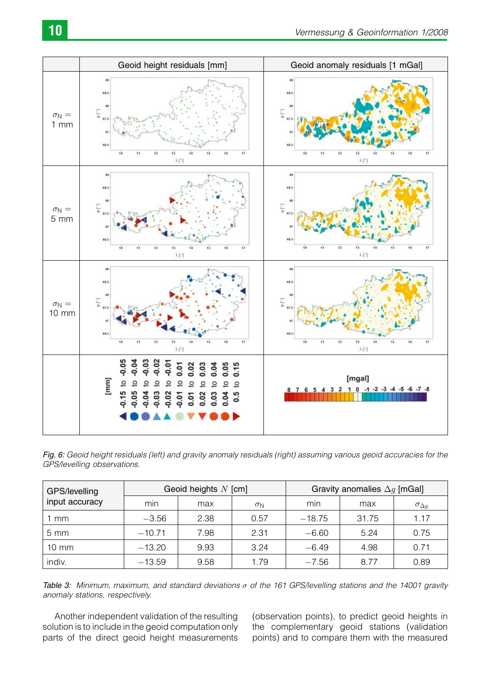

Fig. 6: Geoid height residuals (left) and gravity anomaly residuals (right) assuming various geoid accuracies for the GPS/levelling observations.

| GPS/levelling<br>input accuracy | Geoid heights $N$ [cm] |      |                  | Gravity anomalies $\Delta g$ [mGal] |       |                     |
|---------------------------------|------------------------|------|------------------|-------------------------------------|-------|---------------------|
|                                 | min                    | max  | $\sigma_{\rm N}$ | min                                 | max   | $\sigma_{\Delta q}$ |
| mm                              | $-3.56$                | 2.38 | 0.57             | $-18.75$                            | 31.75 | 1.17                |
| $5 \text{ mm}$                  | $-10.71$               | 7.98 | 2.31             | $-6.60$                             | 5.24  | 0.75                |
| $10 \text{ mm}$                 | $-13.20$               | 9.93 | 3.24             | $-6.49$                             | 4.98  | 0.71                |
| indiv.                          | $-13.59$               | 9.58 | 1.79             | $-7.56$                             | 8.77  | 0.89                |

Table 3: Minimum, maximum, and standard deviations  $\sigma$  of the 161 GPS/levelling stations and the 14001 gravity anomaly stations, respectively.

Another independent validation of the resulting solution is to include in the geoid computation only parts of the direct geoid height measurements

(observation points), to predict geoid heights in the complementary geoid stations (validation points) and to compare them with the measured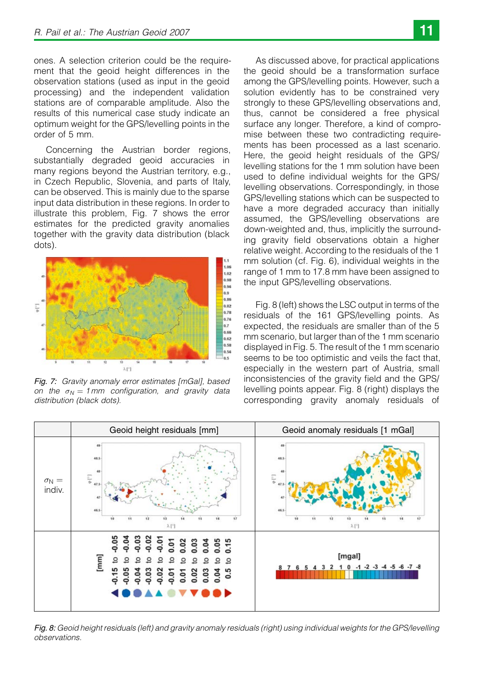ones. A selection criterion could be the requirement that the geoid height differences in the observation stations (used as input in the geoid processing) and the independent validation stations are of comparable amplitude. Also the results of this numerical case study indicate an optimum weight for the GPS/levelling points in the order of 5 mm.

Concerning the Austrian border regions, substantially degraded geoid accuracies in many regions beyond the Austrian territory, e.g., in Czech Republic, Slovenia, and parts of Italy, can be observed. This is mainly due to the sparse input data distribution in these regions. In order to illustrate this problem, Fig. 7 shows the error estimates for the predicted gravity anomalies together with the gravity data distribution (black dots).



Fig. 7: Gravity anomaly error estimates [mGal], based on the  $\sigma_N = 1$  mm configuration, and gravity data distribution (black dots).

As discussed above, for practical applications the geoid should be a transformation surface among the GPS/levelling points. However, such a solution evidently has to be constrained very strongly to these GPS/levelling observations and, thus, cannot be considered a free physical surface any longer. Therefore, a kind of compromise between these two contradicting requirements has been processed as a last scenario. Here, the geoid height residuals of the GPS/ levelling stations for the 1 mm solution have been used to define individual weights for the GPS/ levelling observations. Correspondingly, in those GPS/levelling stations which can be suspected to have a more degraded accuracy than initially assumed, the GPS/levelling observations are down-weighted and, thus, implicitly the surrounding gravity field observations obtain a higher relative weight. According to the residuals of the 1 mm solution (cf. Fig. 6), individual weights in the range of 1 mm to 17.8 mm have been assigned to the input GPS/levelling observations.

Fig. 8 (left) shows the LSC output in terms of the residuals of the 161 GPS/levelling points. As expected, the residuals are smaller than of the 5 mm scenario, but larger than of the 1 mm scenario displayed in Fig. 5. The result of the 1 mm scenario seems to be too optimistic and veils the fact that, especially in the western part of Austria, small inconsistencies of the gravity field and the GPS/ levelling points appear. Fig. 8 (right) displays the corresponding gravity anomaly residuals of



Fig. 8: Geoid height residuals (left) and gravity anomaly residuals (right) using individual weights for the GPS/levelling observations.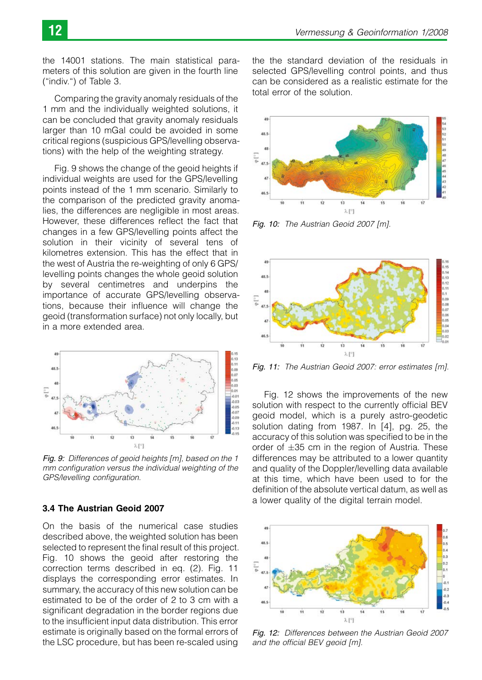the 14001 stations. The main statistical parameters of this solution are given in the fourth line ("indiv.") of Table 3.

Comparing the gravity anomaly residuals of the 1 mm and the individually weighted solutions, it can be concluded that gravity anomaly residuals larger than 10 mGal could be avoided in some critical regions (suspicious GPS/levelling observations) with the help of the weighting strategy.

Fig. 9 shows the change of the geoid heights if individual weights are used for the GPS/levelling points instead of the 1 mm scenario. Similarly to the comparison of the predicted gravity anomalies, the differences are negligible in most areas. However, these differences reflect the fact that changes in a few GPS/levelling points affect the solution in their vicinity of several tens of kilometres extension. This has the effect that in the west of Austria the re-weighting of only 6 GPS/ levelling points changes the whole geoid solution by several centimetres and underpins the importance of accurate GPS/levelling observations, because their influence will change the geoid (transformation surface) not only locally, but in a more extended area.



Fig. 9: Differences of geoid heights [m], based on the 1 mm configuration versus the individual weighting of the GPS/levelling configuration.

# 3.4 The Austrian Geoid 2007

On the basis of the numerical case studies described above, the weighted solution has been selected to represent the final result of this project. Fig. 10 shows the geoid after restoring the correction terms described in eq. (2). Fig. 11 displays the corresponding error estimates. In summary, the accuracy of this new solution can be estimated to be of the order of 2 to 3 cm with a significant degradation in the border regions due to the insufficient input data distribution. This error estimate is originally based on the formal errors of the LSC procedure, but has been re-scaled using the the standard deviation of the residuals in selected GPS/levelling control points, and thus can be considered as a realistic estimate for the total error of the solution.



Fig. 10: The Austrian Geoid 2007 [m].



Fig. 11: The Austrian Geoid 2007: error estimates [m].

Fig. 12 shows the improvements of the new solution with respect to the currently official BEV geoid model, which is a purely astro-geodetic solution dating from 1987. In [4], pg. 25, the accuracy of this solution was specified to be in the order of  $\pm 35$  cm in the region of Austria. These differences may be attributed to a lower quantity and quality of the Doppler/levelling data available at this time, which have been used to for the definition of the absolute vertical datum, as well as a lower quality of the digital terrain model.



Fig. 12: Differences between the Austrian Geoid 2007 and the official BEV geoid [m].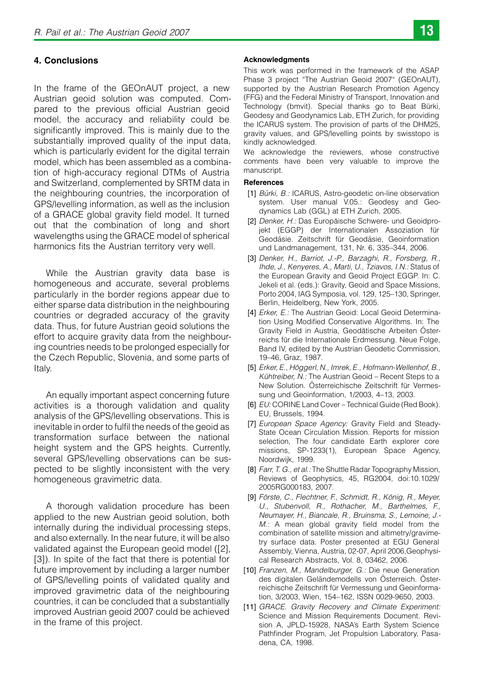# 4. Conclusions

In the frame of the GEOnAUT project, a new Austrian geoid solution was computed. Compared to the previous official Austrian geoid model, the accuracy and reliability could be significantly improved. This is mainly due to the substantially improved quality of the input data, which is particularly evident for the digital terrain model, which has been assembled as a combination of high-accuracy regional DTMs of Austria and Switzerland, complemented by SRTM data in the neighbouring countries, the incorporation of GPS/levelling information, as well as the inclusion of a GRACE global gravity field model. It turned out that the combination of long and short wavelengths using the GRACE model of spherical harmonics fits the Austrian territory very well.

While the Austrian gravity data base is homogeneous and accurate, several problems particularly in the border regions appear due to either sparse data distribution in the neighbouring countries or degraded accuracy of the gravity data. Thus, for future Austrian geoid solutions the effort to acquire gravity data from the neighbouring countries needs to be prolonged especially for the Czech Republic, Slovenia, and some parts of Italy.

An equally important aspect concerning future activities is a thorough validation and quality analysis of the GPS/levelling observations. This is inevitable in order to fulfil the needs of the geoid as transformation surface between the national height system and the GPS heights. Currently, several GPS/levelling observations can be suspected to be slightly inconsistent with the very homogeneous gravimetric data.

A thorough validation procedure has been applied to the new Austrian geoid solution, both internally during the individual processing steps, and also externally. In the near future, it will be also validated against the European geoid model ([2], [3]). In spite of the fact that there is potential for future improvement by including a larger number of GPS/levelling points of validated quality and improved gravimetric data of the neighbouring countries, it can be concluded that a substantially improved Austrian geoid 2007 could be achieved in the frame of this project.

#### **Acknowledaments**

This work was performed in the framework of the ASAP Phase 3 project "The Austrian Geoid 2007" (GEOnAUT), supported by the Austrian Research Promotion Agency (FFG) and the Federal Ministry of Transport, Innovation and Technology (bmvit). Special thanks go to Beat Bürki, Geodesy and Geodynamics Lab, ETH Zurich, for providing the ICARUS system. The provision of parts of the DHM25, gravity values, and GPS/levelling points by swisstopo is kindly acknowledged.

We acknowledge the reviewers, whose constructive comments have been very valuable to improve the manuscript.

## References

- [1] Bürki, B.: ICARUS, Astro-geodetic on-line observation system. User manual V.05.: Geodesy and Geodynamics Lab (GGL) at ETH Zurich, 2005.
- [2] Denker, H.: Das Europäische Schwere- und Geoidprojekt (EGGP) der Internationalen Assoziation für Geodäsie. Zeitschrift für Geodäsie, Geoinformation und Landmanagement, 131, Nr. 6, 335–344, 2006.
- [3] Denker, H., Barriot, J.-P., Barzaghi, R., Forsberg, R., Ihde, J., Kenyeres, A., Marti, U., Tziavos, I.N.: Status of the European Gravity and Geoid Project EGGP. In: C. Jekeli et al. (eds.): Gravity, Geoid and Space Missions, Porto 2004, IAG Symposia, vol. 129, 125–130, Springer, Berlin, Heidelberg, New York, 2005.
- [4] Erker, E.: The Austrian Geoid: Local Geoid Determination Using Modified Conservative Algorithms. In: The Gravity Field in Austria, Geodätische Arbeiten Österreichs für die Internationale Erdmessung. Neue Folge, Band IV, edited by the Austrian Geodetic Commission, 19–46, Graz, 1987.
- [5] Erker, E., Höggerl, N., Imrek, E., Hofmann-Wellenhof, B., Kühtreiber, N.: The Austrian Geoid – Recent Steps to a New Solution. Österreichische Zeitschrift für Vermessung und Geoinformation, 1/2003, 4–13, 2003.
- [6] EU: CORINE Land Cover Technical Guide (Red Book). EU, Brussels, 1994.
- [7] European Space Agency: Gravity Field and Steady-State Ocean Circulation Mission. Reports for mission selection, The four candidate Earth explorer core missions, SP-1233(1), European Space Agency, Noordwijk, 1999.
- [8] Farr, T. G., et al.: The Shuttle Radar Topography Mission, Reviews of Geophysics, 45, RG2004, doi:10.1029/ 2005RG000183, 2007.
- [9] Förste, C., Flechtner, F., Schmidt, R., König, R., Meyer, U., Stubenvoll, R., Rothacher, M., Barthelmes, F., Neumayer, H., Biancale, R., Bruinsma, S., Lemoine, J.- M.: A mean global gravity field model from the combination of satellite mission and altimetry/gravimetry surface data. Poster presented at EGU General Assembly, Vienna, Austria, 02-07, April 2006,Geophysical Research Abstracts, Vol. 8, 03462, 2006.
- [10] Franzen, M., Mandelburger, G.: Die neue Generation des digitalen Geländemodells von Österreich. Österreichische Zeitschrift für Vermessung und Geoinformation, 3/2003, Wien, 154–162, ISSN 0029-9650, 2003.
- [11] GRACE. Gravity Recovery and Climate Experiment: Science and Mission Requirements Document. Revision A, JPLD-15928, NASA's Earth System Science Pathfinder Program, Jet Propulsion Laboratory, Pasadena, CA, 1998.